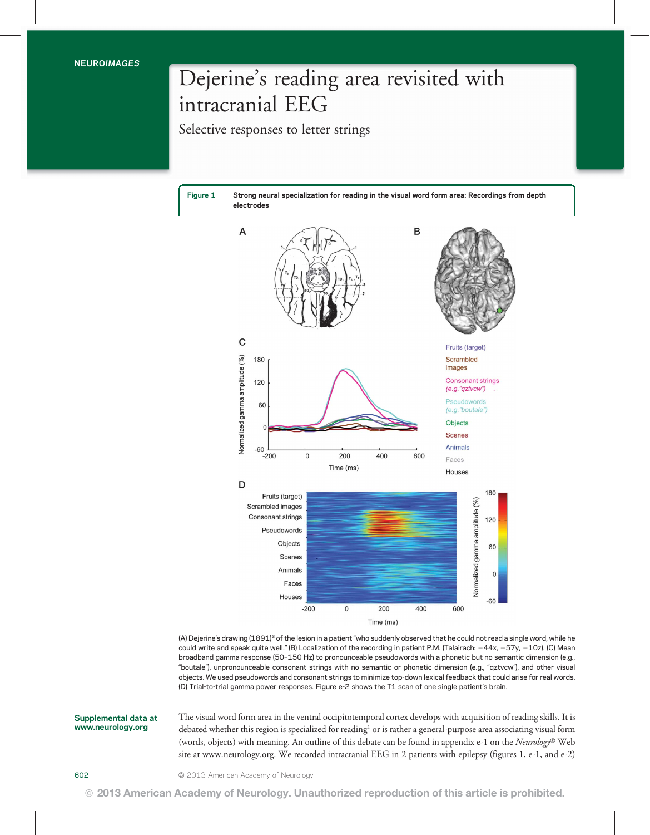## Dejerine's reading area revisited with intracranial EEG

Selective responses to letter strings

Figure 1 Strong neural specialization for reading in the visual word form area: Recordings from depth electrodes



(A) Dejerine's drawing (1891)3 of the lesion in a patient "who suddenly observed that he could not read a single word, while he could write and speak quite well." (B) Localization of the recording in patient P.M. (Talairach:  $-44x$ ,  $-57y$ ,  $-10z$ ). (C) Mean broadband gamma response (50–150 Hz) to pronounceable pseudowords with a phonetic but no semantic dimension (e.g., "boutale"), unpronounceable consonant strings with no semantic or phonetic dimension (e.g., "qztvcw"), and other visual objects. We used pseudowords and consonant strings to minimize top-down lexical feedback that could arise for real words. (D) Trial-to-trial gamma power responses. Figure e-2 shows the T1 scan of one single patient's brain.

Supplemental data at www.neurology.org

The visual word form area in the ventral occipitotemporal cortex develops with acquisition of reading skills. It is debated whether this region is specialized for reading<sup>1</sup> or is rather a general-purpose area associating visual form (words, objects) with meaning. An outline of this debate can be found in appendix e-1 on the Neurology® Web site at www.neurology.org. We recorded intracranial EEG in 2 patients with epilepsy (figures 1, e-1, and e-2)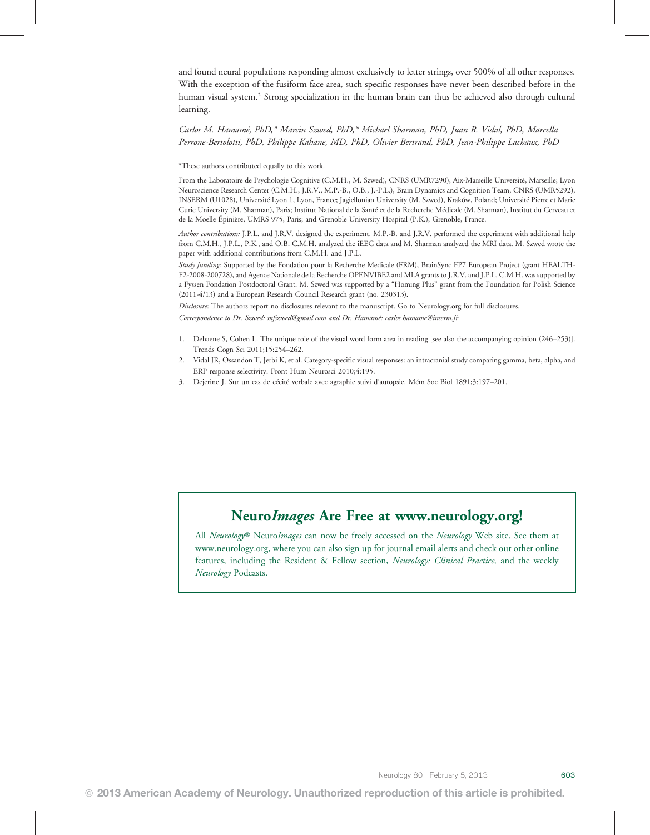and found neural populations responding almost exclusively to letter strings, over 500% of all other responses. With the exception of the fusiform face area, such specific responses have never been described before in the human visual system.<sup>2</sup> Strong specialization in the human brain can thus be achieved also through cultural learning.

Carlos M. Hamamé, PhD,\* Marcin Szwed, PhD,\* Michael Sharman, PhD, Juan R. Vidal, PhD, Marcella Perrone-Bertolotti, PhD, Philippe Kahane, MD, PhD, Olivier Bertrand, PhD, Jean-Philippe Lachaux, PhD

\*These authors contributed equally to this work.

From the Laboratoire de Psychologie Cognitive (C.M.H., M. Szwed), CNRS (UMR7290), Aix-Marseille Université, Marseille; Lyon Neuroscience Research Center (C.M.H., J.R.V., M.P.-B., O.B., J.-P.L.), Brain Dynamics and Cognition Team, CNRS (UMR5292), INSERM (U1028), Université Lyon 1, Lyon, France; Jagiellonian University (M. Szwed), Kraków, Poland; Université Pierre et Marie Curie University (M. Sharman), Paris; Institut National de la Santé et de la Recherche Médicale (M. Sharman), Institut du Cerveau et de la Moelle Épinière, UMRS 975, Paris; and Grenoble University Hospital (P.K.), Grenoble, France.

Author contributions: J.P.L. and J.R.V. designed the experiment. M.P.-B. and J.R.V. performed the experiment with additional help from C.M.H., J.P.L., P.K., and O.B. C.M.H. analyzed the iEEG data and M. Sharman analyzed the MRI data. M. Szwed wrote the paper with additional contributions from C.M.H. and J.P.L.

Study funding: Supported by the Fondation pour la Recherche Medicale (FRM), BrainSync FP7 European Project (grant HEALTH-F2-2008-200728), and Agence Nationale de la Recherche OPENVIBE2 and MLA grants to J.R.V. and J.P.L. C.M.H. was supported by a Fyssen Fondation Postdoctoral Grant. M. Szwed was supported by a "Homing Plus" grant from the Foundation for Polish Science (2011-4/13) and a European Research Council Research grant (no. 230313).

Disclosure: The authors report no disclosures relevant to the manuscript. Go to Neurology.org for full disclosures. Correspondence to Dr. Szwed: mfszwed@gmail.com and Dr. Hamamé: carlos.hamame@inserm.fr

- 1. Dehaene S, Cohen L. The unique role of the visual word form area in reading [see also the accompanying opinion (246–253)]. Trends Cogn Sci 2011;15:254–262.
- 2. Vidal JR, Ossandon T, Jerbi K, et al. Category-specific visual responses: an intracranial study comparing gamma, beta, alpha, and ERP response selectivity. Front Hum Neurosci 2010;4:195.
- 3. Dejerine J. Sur un cas de cécité verbale avec agraphie suivi d'autopsie. Mém Soc Biol 1891;3:197–201.

All *Neurology®* Neuro*Images* can now be freely accessed on the *Neurology* Web site. See them at www.neurology.org, where you can also sign up for journal email alerts and check out other online features, including the Resident & Fellow section, Neurology: Clinical Practice, and the weekly Neurology Podcasts.